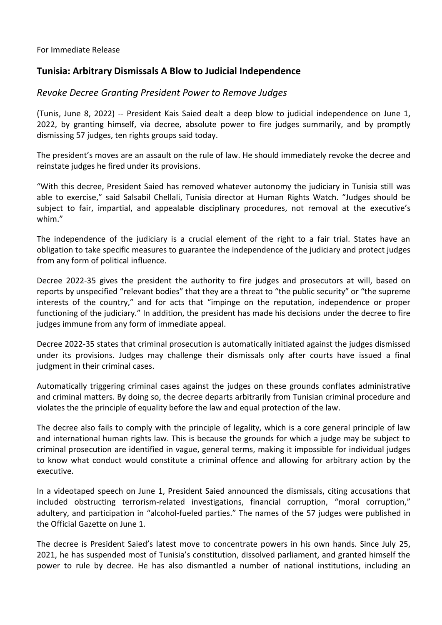For Immediate Release

## **Tunisia: Arbitrary Dismissals A Blow to Judicial Independence**

## *Revoke Decree Granting President Power to Remove Judges*

(Tunis, June 8, 2022) -- President Kais Saied dealt a deep blow to judicial independence on June 1, 2022, by granting himself, via decree, absolute power to fire judges summarily, and by promptly dismissing 57 judges, ten rights groups said today.

The president's moves are an assault on the rule of law. He should immediately revoke the decree and reinstate judges he fired under its provisions.

"With this decree, President Saied has removed whatever autonomy the judiciary in Tunisia still was able to exercise," said Salsabil Chellali, Tunisia director at Human Rights Watch. "Judges should be subject to fair, impartial, and appealable disciplinary procedures, not removal at the executive's whim."

The independence of the judiciary is a crucial element of the right to a fair trial. States have an obligation to take specific measures to guarantee the independence of the judiciary and protect judges from any form of political influence.

Decree 2022-35 gives the president the authority to fire judges and prosecutors at will, based on reports by unspecified "relevant bodies" that they are a threat to "the public security" or "the supreme interests of the country," and for acts that "impinge on the reputation, independence or proper functioning of the judiciary." In addition, the president has made his decisions under the decree to fire judges immune from any form of immediate appeal.

Decree 2022-35 states that criminal prosecution is automatically initiated against the judges dismissed under its provisions. Judges may challenge their dismissals only after courts have issued a final judgment in their criminal cases.

Automatically triggering criminal cases against the judges on these grounds conflates administrative and criminal matters. By doing so, the decree departs arbitrarily from Tunisian criminal procedure and violates the the principle of equality before the law and equal protection of the law.

The decree also fails to comply with the principle of legality, which is a core general principle of law and international human rights law. This is because the grounds for which a judge may be subject to criminal prosecution are identified in vague, general terms, making it impossible for individual judges to know what conduct would constitute a criminal offence and allowing for arbitrary action by the executive.

In a videotaped speech on June 1, President Saied announced the dismissals, citing accusations that included obstructing terrorism-related investigations, financial corruption, "moral corruption," adultery, and participation in "alcohol-fueled parties." The names of the 57 judges were published in the Official Gazette on June 1.

The decree is President Saied's latest move to concentrate powers in his own hands. Since July 25, 2021, he has suspended most of Tunisia's constitution, dissolved parliament, and granted himself the power to rule by decree. He has also dismantled a number of national institutions, including an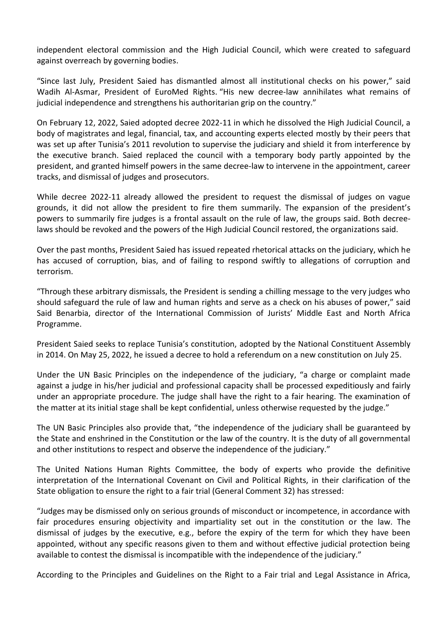independent electoral commission and the High Judicial Council, which were created to safeguard against overreach by governing bodies.

"Since last July, President Saied has dismantled almost all institutional checks on his power," said Wadih Al-Asmar, President of EuroMed Rights. "His new decree-law annihilates what remains of judicial independence and strengthens his authoritarian grip on the country."

On February 12, 2022, Saied adopted decree 2022-11 in which he dissolved the High Judicial Council, a body of magistrates and legal, financial, tax, and accounting experts elected mostly by their peers that was set up after Tunisia's 2011 revolution to supervise the judiciary and shield it from interference by the executive branch. Saied replaced the council with a temporary body partly appointed by the president, and granted himself powers in the same decree-law to intervene in the appointment, career tracks, and dismissal of judges and prosecutors.

While decree 2022-11 already allowed the president to request the dismissal of judges on vague grounds, it did not allow the president to fire them summarily. The expansion of the president's powers to summarily fire judges is a frontal assault on the rule of law, the groups said. Both decreelaws should be revoked and the powers of the High Judicial Council restored, the organizations said.

Over the past months, President Saied has issued repeated rhetorical attacks on the judiciary, which he has accused of corruption, bias, and of failing to respond swiftly to allegations of corruption and terrorism.

"Through these arbitrary dismissals, the President is sending a chilling message to the very judges who should safeguard the rule of law and human rights and serve as a check on his abuses of power," said Said Benarbia, director of the International Commission of Jurists' Middle East and North Africa Programme.

President Saied seeks to replace Tunisia's constitution, adopted by the National Constituent Assembly in 2014. On May 25, 2022, he issued a decree to hold a referendum on a new constitution on July 25.

Under the UN Basic Principles on the independence of the judiciary, "a charge or complaint made against a judge in his/her judicial and professional capacity shall be processed expeditiously and fairly under an appropriate procedure. The judge shall have the right to a fair hearing. The examination of the matter at its initial stage shall be kept confidential, unless otherwise requested by the judge."

The UN Basic Principles also provide that, "the independence of the judiciary shall be guaranteed by the State and enshrined in the Constitution or the law of the country. It is the duty of all governmental and other institutions to respect and observe the independence of the judiciary."

The United Nations Human Rights Committee, the body of experts who provide the definitive interpretation of the International Covenant on Civil and Political Rights, in their clarification of the State obligation to ensure the right to a fair trial (General Comment 32) has stressed:

"Judges may be dismissed only on serious grounds of misconduct or incompetence, in accordance with fair procedures ensuring objectivity and impartiality set out in the constitution or the law. The dismissal of judges by the executive, e.g., before the expiry of the term for which they have been appointed, without any specific reasons given to them and without effective judicial protection being available to contest the dismissal is incompatible with the independence of the judiciary."

According to the Principles and Guidelines on the Right to a Fair trial and Legal Assistance in Africa,